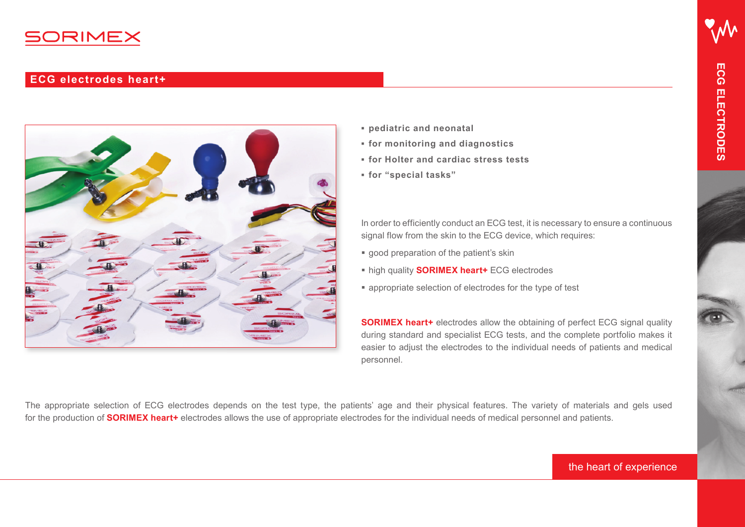

# **ECG electrodes heart+**



- **pediatric and neonatal**
- **for monitoring and diagnostics**
- **for Holter and cardiac stress tests**
- **for "special tasks"**

In order to efficiently conduct an ECG test, it is necessary to ensure a continuous signal flow from the skin to the ECG device, which requires:

- good preparation of the patient's skin
- high quality **SORIMEX heart+** ECG electrodes
- appropriate selection of electrodes for the type of test

**SORIMEX heart+** electrodes allow the obtaining of perfect ECG signal quality during standard and specialist ECG tests, and the complete portfolio makes it easier to adjust the electrodes to the individual needs of patients and medical personnel.

The appropriate selection of ECG electrodes depends on the test type, the patients' age and their physical features. The variety of materials and gels used for the production of **SORIMEX heart+** electrodes allows the use of appropriate electrodes for the individual needs of medical personnel and patients.

# the heart of experience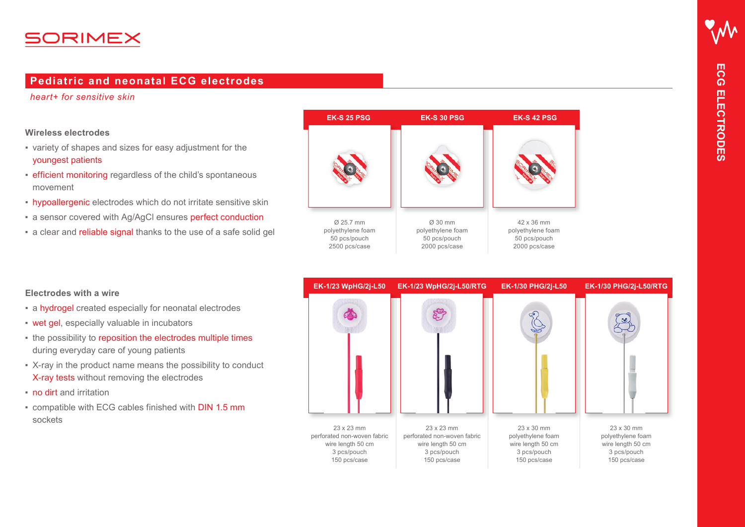# 50RIMEX

# **Pediatric and neonatal ECG electrodes**

*heart+ for sensitive skin*

#### **Wireless electrodes**

- variety of shapes and sizes for easy adjustment for the youngest patients
- **efficient monitoring regardless of the child's spontaneous** movement
- **hypoallergenic** electrodes which do not irritate sensitive skin
- a sensor covered with Ag/AgCl ensures perfect conduction
- a clear and reliable signal thanks to the use of a safe solid gel





#### **Electrodes with a wire**

- **Exercise 1 a hydrogel created especially for neonatal electrodes**
- wet gel, especially valuable in incubators
- the possibility to reposition the electrodes multiple times during everyday care of young patients
- X-ray in the product name means the possibility to conduct X-ray tests without removing the electrodes
- no dirt and irritation
- compatible with ECG cables finished with DIN 1.5 mm sockets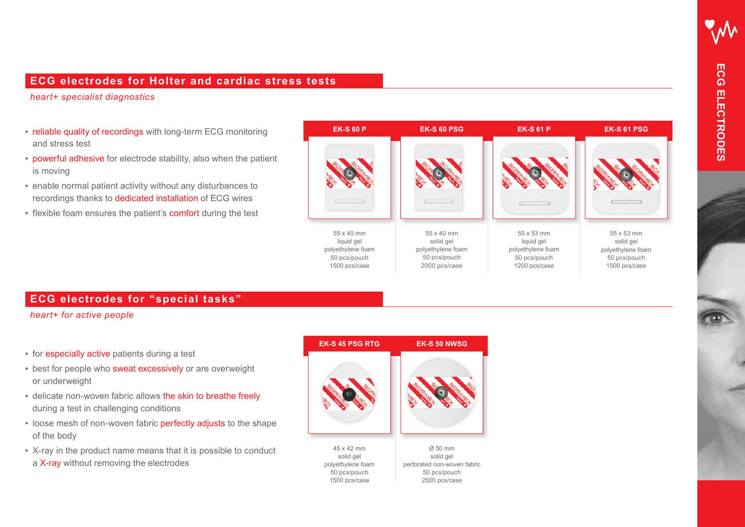## **ECG electrodes for Holter and cardiac stress tests**

*heart+ specialist diagnostics*

- reliable quality of recordings with long-term ECG monitoring and stress test
- **powerful adhesive** for electrode stability, also when the patient is moving
- enable normal patient activity without any disturbances to recordings thanks to dedicated installation of ECG wires
- **.** flexible foam ensures the patient's **comfort** during the test



## **ECG electrodes for "special tasks"**

*heart+ for active people*

- for especially active patients during a test
- **best for people who sweat excessively or are overweight** or underweight
- delicate non-woven fabric allows the skin to breathe freely during a test in challenging conditions
- **.** loose mesh of non-woven fabric perfectly adjusts to the shape of the body
- X-ray in the product name means that it is possible to conduct a X-ray without removing the electrodes

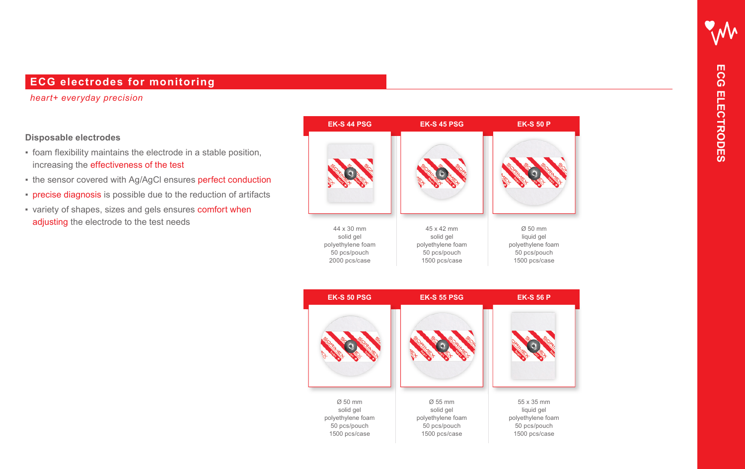# **ECG electrodes for monitoring**

#### *heart+ everyday precision*

#### **Disposable electrodes**

- foam flexibility maintains the electrode in a stable position, increasing the effectiveness of the test
- the sensor covered with Ag/AgCl ensures perfect conduction
- **precise diagnosis** is possible due to the reduction of artifacts
- **EXECT:** variety of shapes, sizes and gels ensures comfort when adjusting the electrode to the test needs



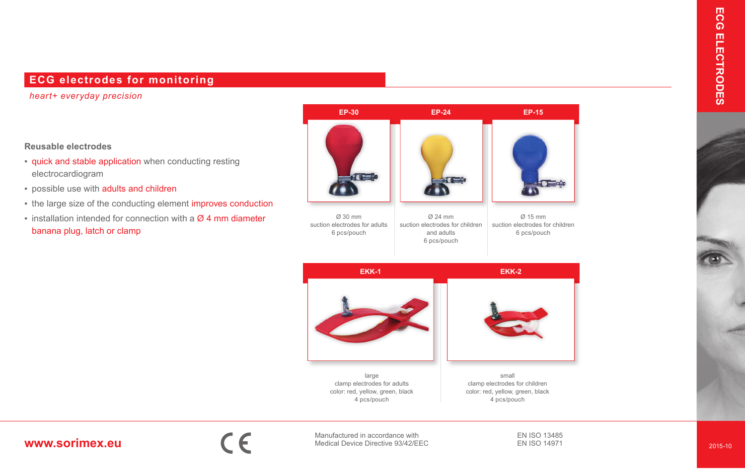# **ECG electrodes for monitoring**

*heart+ everyday precision*

#### **Reusable electrodes**

- quick and stable application when conducting resting electrocardiogram
- possible use with adults and children
- the large size of the conducting element improves conduction
- $\blacksquare$  installation intended for connection with a  $\emptyset$  4 mm diameter banana plug, latch or clamp





Manufactured in accordance with **www.sorimex.eu** Manufactured in accordance with Medical Device Directive 93/42/EEC EN ISO 13485 EN ISO 14971